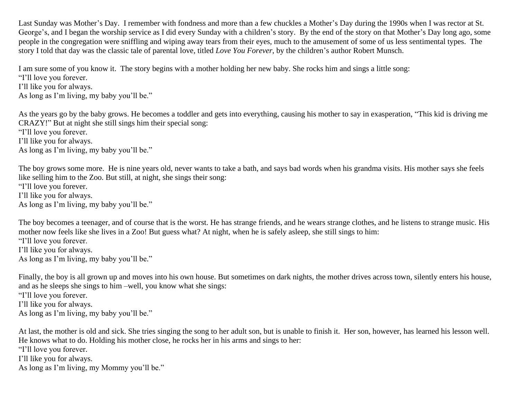Last Sunday was Mother's Day. I remember with fondness and more than a few chuckles a Mother's Day during the 1990s when I was rector at St. George's, and I began the worship service as I did every Sunday with a children's story. By the end of the story on that Mother's Day long ago, some people in the congregation were sniffling and wiping away tears from their eyes, much to the amusement of some of us less sentimental types. The story I told that day was the classic tale of parental love, titled *Love You Forever*, by the children's author Robert Munsch.

I am sure some of you know it. The story begins with a mother holding her new baby. She rocks him and sings a little song:

"I'll love you forever.

I'll like you for always.

As long as I'm living, my baby you'll be."

As the years go by the baby grows. He becomes a toddler and gets into everything, causing his mother to say in exasperation, "This kid is driving me CRAZY!" But at night she still sings him their special song:

"I'll love you forever.

I'll like you for always.

As long as I'm living, my baby you'll be."

The boy grows some more. He is nine years old, never wants to take a bath, and says bad words when his grandma visits. His mother says she feels like selling him to the Zoo. But still, at night, she sings their song: "I'll love you forever. I'll like you for always.

As long as I'm living, my baby you'll be."

The boy becomes a teenager, and of course that is the worst. He has strange friends, and he wears strange clothes, and he listens to strange music. His mother now feels like she lives in a Zoo! But guess what? At night, when he is safely asleep, she still sings to him: "I'll love you forever. I'll like you for always. As long as I'm living, my baby you'll be."

Finally, the boy is all grown up and moves into his own house. But sometimes on dark nights, the mother drives across town, silently enters his house, and as he sleeps she sings to him –well, you know what she sings:

"I'll love you forever.

I'll like you for always.

As long as I'm living, my baby you'll be."

At last, the mother is old and sick. She tries singing the song to her adult son, but is unable to finish it. Her son, however, has learned his lesson well. He knows what to do. Holding his mother close, he rocks her in his arms and sings to her:

"I'll love you forever.

I'll like you for always.

As long as I'm living, my Mommy you'll be."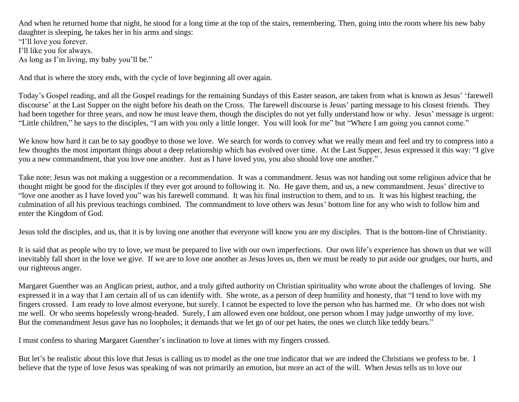And when he returned home that night, he stood for a long time at the top of the stairs, remembering. Then, going into the room where his new baby daughter is sleeping, he takes her in his arms and sings: "I'll love you forever.

I'll like you for always.

As long as I'm living, my baby you'll be."

And that is where the story ends, with the cycle of love beginning all over again.

Today's Gospel reading, and all the Gospel readings for the remaining Sundays of this Easter season, are taken from what is known as Jesus' 'farewell discourse' at the Last Supper on the night before his death on the Cross. The farewell discourse is Jesus' parting message to his closest friends. They had been together for three years, and now he must leave them, though the disciples do not yet fully understand how or why. Jesus' message is urgent: "Little children," he says to the disciples, "I am with you only a little longer. You will look for me" but "Where I am going you cannot come."

We know how hard it can be to say goodbye to those we love. We search for words to convey what we really mean and feel and try to compress into a few thoughts the most important things about a deep relationship which has evolved over time. At the Last Supper, Jesus expressed it this way: "I give you a new commandment, that you love one another. Just as I have loved you, you also should love one another."

Take note: Jesus was not making a suggestion or a recommendation. It was a commandment. Jesus was not handing out some religious advice that he thought might be good for the disciples if they ever got around to following it. No. He gave them, and us, a new commandment. Jesus' directive to "love one another as I have loved you" was his farewell command. It was his final instruction to them, and to us. It was his highest teaching, the culmination of all his previous teachings combined. The commandment to love others was Jesus' bottom line for any who wish to follow him and enter the Kingdom of God.

Jesus told the disciples, and us, that it is by loving one another that everyone will know you are my disciples. That is the bottom-line of Christianity.

It is said that as people who try to love, we must be prepared to live with our own imperfections. Our own life's experience has shown us that we will inevitably fall short in the love we give. If we are to love one another as Jesus loves us, then we must be ready to put aside our grudges, our hurts, and our righteous anger.

Margaret Guenther was an Anglican priest, author, and a truly gifted authority on Christian spirituality who wrote about the challenges of loving. She expressed it in a way that I am certain all of us can identify with. She wrote, as a person of deep humility and honesty, that "I tend to love with my fingers crossed. I am ready to love almost everyone, but surely. I cannot be expected to love the person who has harmed me. Or who does not wish me well. Or who seems hopelessly wrong-headed. Surely, I am allowed even one holdout, one person whom I may judge unworthy of my love. But the commandment Jesus gave has no loopholes; it demands that we let go of our pet hates, the ones we clutch like teddy bears."

I must confess to sharing Margaret Guenther's inclination to love at times with my fingers crossed.

But let's be realistic about this love that Jesus is calling us to model as the one true indicator that we are indeed the Christians we profess to be. I believe that the type of love Jesus was speaking of was not primarily an emotion, but more an act of the will. When Jesus tells us to love our